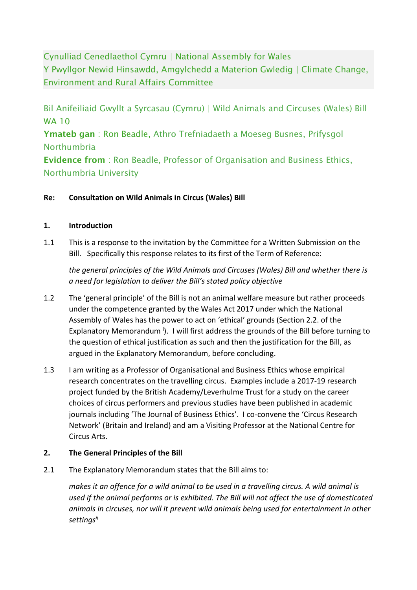Cynulliad Cenedlaethol Cymru | National Assembly for Wales Y Pwyllgor Newid Hinsawdd, Amgylchedd a Materion Gwledig | Climate Change, Environment and Rural Affairs Committee

Bil Anifeiliaid Gwyllt a Syrcasau (Cymru) | Wild Animals and Circuses (Wales) Bill WA 10

Ymateb gan: Ron Beadle, Athro Trefniadaeth a Moeseg Busnes, Prifysgol **Northumbria** 

Evidence from : Ron Beadle, Professor of Organisation and Business Ethics, Northumbria University

### **Re: Consultation on Wild Animals in Circus (Wales) Bill**

#### **1. Introduction**

1.1 This is a response to the invitation by the Committee for a Written Submission on the Bill. Specifically this response relates to its first of the Term of Reference:

*the general principles of the Wild Animals and Circuses (Wales) Bill and whether there is a need for legislation to deliver the Bill's stated policy objective*

- 1.2 The 'general principle' of the Bill is not an animal welfare measure but rather proceeds under the competence granted by the Wales Act 2017 under which the National Assembly of Wales has the power to act on 'ethical' grounds (Section 2.2. of the Explanatory Memorandum<sup>i</sup>). I will first address the grounds of the Bill before turning to the question of ethical justification as such and then the justification for the Bill, as argued in the Explanatory Memorandum, before concluding.
- 1.3 I am writing as a Professor of Organisational and Business Ethics whose empirical research concentrates on the travelling circus. Examples include a 2017-19 research project funded by the British Academy/Leverhulme Trust for a study on the career choices of circus performers and previous studies have been published in academic journals including 'The Journal of Business Ethics'. I co-convene the 'Circus Research Network' (Britain and Ireland) and am a Visiting Professor at the National Centre for Circus Arts.

### **2. The General Principles of the Bill**

2.1 The Explanatory Memorandum states that the Bill aims to:

*makes it an offence for a wild animal to be used in a travelling circus. A wild animal is used if the animal performs or is exhibited. The Bill will not affect the use of domesticated animals in circuses, nor will it prevent wild animals being used for entertainment in other settingsii*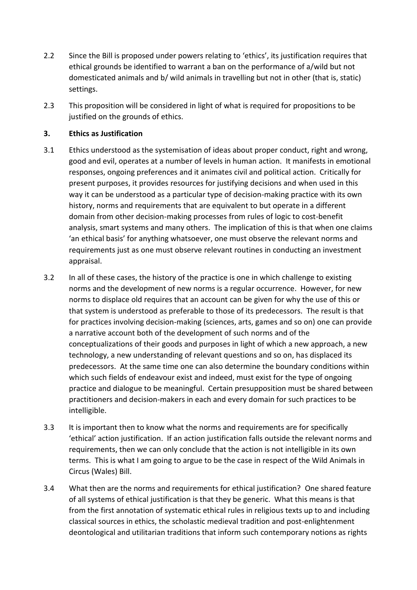- 2.2 Since the Bill is proposed under powers relating to 'ethics', its justification requires that ethical grounds be identified to warrant a ban on the performance of a/wild but not domesticated animals and b/ wild animals in travelling but not in other (that is, static) settings.
- 2.3 This proposition will be considered in light of what is required for propositions to be justified on the grounds of ethics.

## **3. Ethics as Justification**

- 3.1 Ethics understood as the systemisation of ideas about proper conduct, right and wrong, good and evil, operates at a number of levels in human action. It manifests in emotional responses, ongoing preferences and it animates civil and political action. Critically for present purposes, it provides resources for justifying decisions and when used in this way it can be understood as a particular type of decision-making practice with its own history, norms and requirements that are equivalent to but operate in a different domain from other decision-making processes from rules of logic to cost-benefit analysis, smart systems and many others. The implication of this is that when one claims 'an ethical basis' for anything whatsoever, one must observe the relevant norms and requirements just as one must observe relevant routines in conducting an investment appraisal.
- 3.2 In all of these cases, the history of the practice is one in which challenge to existing norms and the development of new norms is a regular occurrence. However, for new norms to displace old requires that an account can be given for why the use of this or that system is understood as preferable to those of its predecessors. The result is that for practices involving decision-making (sciences, arts, games and so on) one can provide a narrative account both of the development of such norms and of the conceptualizations of their goods and purposes in light of which a new approach, a new technology, a new understanding of relevant questions and so on, has displaced its predecessors. At the same time one can also determine the boundary conditions within which such fields of endeavour exist and indeed, must exist for the type of ongoing practice and dialogue to be meaningful. Certain presupposition must be shared between practitioners and decision-makers in each and every domain for such practices to be intelligible.
- 3.3 It is important then to know what the norms and requirements are for specifically 'ethical' action justification. If an action justification falls outside the relevant norms and requirements, then we can only conclude that the action is not intelligible in its own terms. This is what I am going to argue to be the case in respect of the Wild Animals in Circus (Wales) Bill.
- 3.4 What then are the norms and requirements for ethical justification? One shared feature of all systems of ethical justification is that they be generic. What this means is that from the first annotation of systematic ethical rules in religious texts up to and including classical sources in ethics, the scholastic medieval tradition and post-enlightenment deontological and utilitarian traditions that inform such contemporary notions as rights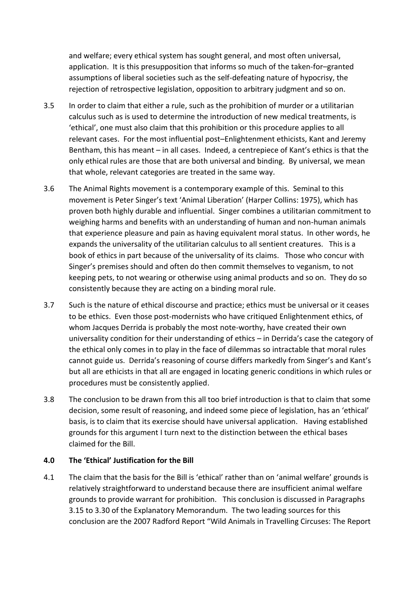and welfare; every ethical system has sought general, and most often universal, application. It is this presupposition that informs so much of the taken-for–granted assumptions of liberal societies such as the self-defeating nature of hypocrisy, the rejection of retrospective legislation, opposition to arbitrary judgment and so on.

- 3.5 In order to claim that either a rule, such as the prohibition of murder or a utilitarian calculus such as is used to determine the introduction of new medical treatments, is 'ethical', one must also claim that this prohibition or this procedure applies to all relevant cases. For the most influential post–Enlightenment ethicists, Kant and Jeremy Bentham, this has meant – in all cases. Indeed, a centrepiece of Kant's ethics is that the only ethical rules are those that are both universal and binding. By universal, we mean that whole, relevant categories are treated in the same way.
- 3.6 The Animal Rights movement is a contemporary example of this. Seminal to this movement is Peter Singer's text 'Animal Liberation' (Harper Collins: 1975), which has proven both highly durable and influential. Singer combines a utilitarian commitment to weighing harms and benefits with an understanding of human and non-human animals that experience pleasure and pain as having equivalent moral status. In other words, he expands the universality of the utilitarian calculus to all sentient creatures. This is a book of ethics in part because of the universality of its claims. Those who concur with Singer's premises should and often do then commit themselves to veganism, to not keeping pets, to not wearing or otherwise using animal products and so on. They do so consistently because they are acting on a binding moral rule.
- 3.7 Such is the nature of ethical discourse and practice; ethics must be universal or it ceases to be ethics. Even those post-modernists who have critiqued Enlightenment ethics, of whom Jacques Derrida is probably the most note-worthy, have created their own universality condition for their understanding of ethics – in Derrida's case the category of the ethical only comes in to play in the face of dilemmas so intractable that moral rules cannot guide us. Derrida's reasoning of course differs markedly from Singer's and Kant's but all are ethicists in that all are engaged in locating generic conditions in which rules or procedures must be consistently applied.
- 3.8 The conclusion to be drawn from this all too brief introduction is that to claim that some decision, some result of reasoning, and indeed some piece of legislation, has an 'ethical' basis, is to claim that its exercise should have universal application. Having established grounds for this argument I turn next to the distinction between the ethical bases claimed for the Bill.

#### **4.0 The 'Ethical' Justification for the Bill**

4.1 The claim that the basis for the Bill is 'ethical' rather than on 'animal welfare' grounds is relatively straightforward to understand because there are insufficient animal welfare grounds to provide warrant for prohibition. This conclusion is discussed in Paragraphs 3.15 to 3.30 of the Explanatory Memorandum. The two leading sources for this conclusion are the 2007 Radford Report "Wild Animals in Travelling Circuses: The Report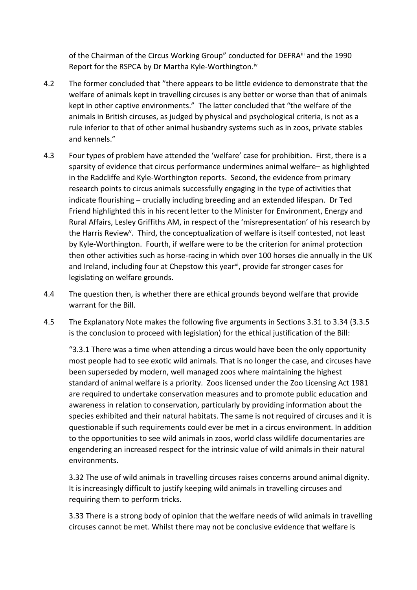of the Chairman of the Circus Working Group" conducted for DEFRA<sup>iii</sup> and the 1990 Report for the RSPCA by Dr Martha Kyle-Worthington.<sup>iv</sup>

- 4.2 The former concluded that "there appears to be little evidence to demonstrate that the welfare of animals kept in travelling circuses is any better or worse than that of animals kept in other captive environments." The latter concluded that "the welfare of the animals in British circuses, as judged by physical and psychological criteria, is not as a rule inferior to that of other animal husbandry systems such as in zoos, private stables and kennels."
- 4.3 Four types of problem have attended the 'welfare' case for prohibition. First, there is a sparsity of evidence that circus performance undermines animal welfare– as highlighted in the Radcliffe and Kyle-Worthington reports. Second, the evidence from primary research points to circus animals successfully engaging in the type of activities that indicate flourishing – crucially including breeding and an extended lifespan. Dr Ted Friend highlighted this in his recent letter to the Minister for Environment, Energy and Rural Affairs, Lesley Griffiths AM, in respect of the 'misrepresentation' of his research by the Harris Review<sup>v</sup>. Third, the conceptualization of welfare is itself contested, not least by Kyle-Worthington. Fourth, if welfare were to be the criterion for animal protection then other activities such as horse-racing in which over 100 horses die annually in the UK and Ireland, including four at Chepstow this year<sup>vi</sup>, provide far stronger cases for legislating on welfare grounds.
- 4.4 The question then, is whether there are ethical grounds beyond welfare that provide warrant for the Bill.
- 4.5 The Explanatory Note makes the following five arguments in Sections 3.31 to 3.34 (3.3.5 is the conclusion to proceed with legislation) for the ethical justification of the Bill:

"3.3.1 There was a time when attending a circus would have been the only opportunity most people had to see exotic wild animals. That is no longer the case, and circuses have been superseded by modern, well managed zoos where maintaining the highest standard of animal welfare is a priority. Zoos licensed under the Zoo Licensing Act 1981 are required to undertake conservation measures and to promote public education and awareness in relation to conservation, particularly by providing information about the species exhibited and their natural habitats. The same is not required of circuses and it is questionable if such requirements could ever be met in a circus environment. In addition to the opportunities to see wild animals in zoos, world class wildlife documentaries are engendering an increased respect for the intrinsic value of wild animals in their natural environments.

3.32 The use of wild animals in travelling circuses raises concerns around animal dignity. It is increasingly difficult to justify keeping wild animals in travelling circuses and requiring them to perform tricks.

3.33 There is a strong body of opinion that the welfare needs of wild animals in travelling circuses cannot be met. Whilst there may not be conclusive evidence that welfare is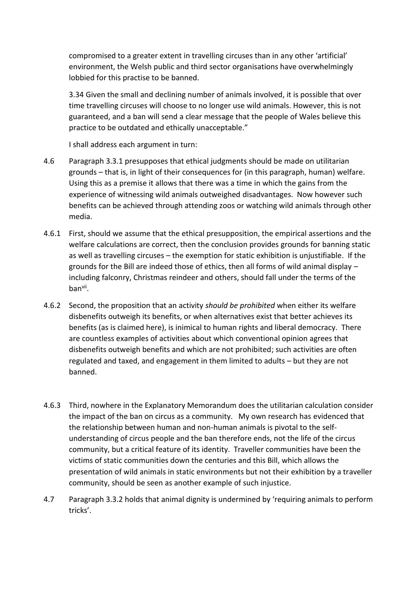compromised to a greater extent in travelling circuses than in any other 'artificial' environment, the Welsh public and third sector organisations have overwhelmingly lobbied for this practise to be banned.

3.34 Given the small and declining number of animals involved, it is possible that over time travelling circuses will choose to no longer use wild animals. However, this is not guaranteed, and a ban will send a clear message that the people of Wales believe this practice to be outdated and ethically unacceptable."

I shall address each argument in turn:

- 4.6 Paragraph 3.3.1 presupposes that ethical judgments should be made on utilitarian grounds – that is, in light of their consequences for (in this paragraph, human) welfare. Using this as a premise it allows that there was a time in which the gains from the experience of witnessing wild animals outweighed disadvantages. Now however such benefits can be achieved through attending zoos or watching wild animals through other media.
- 4.6.1 First, should we assume that the ethical presupposition, the empirical assertions and the welfare calculations are correct, then the conclusion provides grounds for banning static as well as travelling circuses – the exemption for static exhibition is unjustifiable. If the grounds for the Bill are indeed those of ethics, then all forms of wild animal display – including falconry, Christmas reindeer and others, should fall under the terms of the banvii .
- 4.6.2 Second, the proposition that an activity *should be prohibited* when either its welfare disbenefits outweigh its benefits, or when alternatives exist that better achieves its benefits (as is claimed here), is inimical to human rights and liberal democracy. There are countless examples of activities about which conventional opinion agrees that disbenefits outweigh benefits and which are not prohibited; such activities are often regulated and taxed, and engagement in them limited to adults – but they are not banned.
- 4.6.3 Third, nowhere in the Explanatory Memorandum does the utilitarian calculation consider the impact of the ban on circus as a community. My own research has evidenced that the relationship between human and non-human animals is pivotal to the selfunderstanding of circus people and the ban therefore ends, not the life of the circus community, but a critical feature of its identity. Traveller communities have been the victims of static communities down the centuries and this Bill, which allows the presentation of wild animals in static environments but not their exhibition by a traveller community, should be seen as another example of such injustice.
- 4.7 Paragraph 3.3.2 holds that animal dignity is undermined by 'requiring animals to perform tricks'.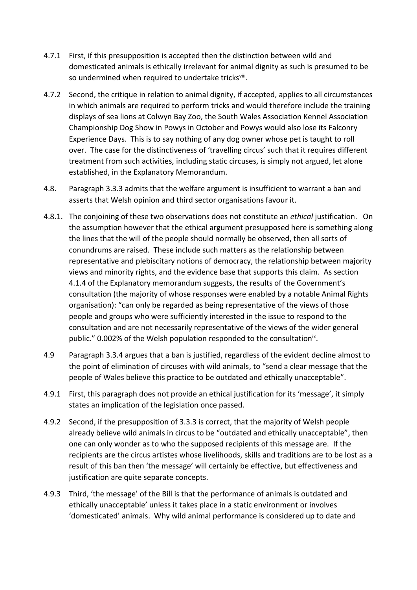- 4.7.1 First, if this presupposition is accepted then the distinction between wild and domesticated animals is ethically irrelevant for animal dignity as such is presumed to be so undermined when required to undertake tricksviii.
- 4.7.2 Second, the critique in relation to animal dignity, if accepted, applies to all circumstances in which animals are required to perform tricks and would therefore include the training displays of sea lions at Colwyn Bay Zoo, the South Wales Association Kennel Association Championship Dog Show in Powys in October and Powys would also lose its Falconry Experience Days. This is to say nothing of any dog owner whose pet is taught to roll over. The case for the distinctiveness of 'travelling circus' such that it requires different treatment from such activities, including static circuses, is simply not argued, let alone established, in the Explanatory Memorandum.
- 4.8. Paragraph 3.3.3 admits that the welfare argument is insufficient to warrant a ban and asserts that Welsh opinion and third sector organisations favour it.
- 4.8.1. The conjoining of these two observations does not constitute an *ethical* justification. On the assumption however that the ethical argument presupposed here is something along the lines that the will of the people should normally be observed, then all sorts of conundrums are raised. These include such matters as the relationship between representative and plebiscitary notions of democracy, the relationship between majority views and minority rights, and the evidence base that supports this claim. As section 4.1.4 of the Explanatory memorandum suggests, the results of the Government's consultation (the majority of whose responses were enabled by a notable Animal Rights organisation): "can only be regarded as being representative of the views of those people and groups who were sufficiently interested in the issue to respond to the consultation and are not necessarily representative of the views of the wider general public." 0.002% of the Welsh population responded to the consultation<sup>ix</sup>.
- 4.9 Paragraph 3.3.4 argues that a ban is justified, regardless of the evident decline almost to the point of elimination of circuses with wild animals, to "send a clear message that the people of Wales believe this practice to be outdated and ethically unacceptable".
- 4.9.1 First, this paragraph does not provide an ethical justification for its 'message', it simply states an implication of the legislation once passed.
- 4.9.2 Second, if the presupposition of 3.3.3 is correct, that the majority of Welsh people already believe wild animals in circus to be "outdated and ethically unacceptable", then one can only wonder as to who the supposed recipients of this message are. If the recipients are the circus artistes whose livelihoods, skills and traditions are to be lost as a result of this ban then 'the message' will certainly be effective, but effectiveness and justification are quite separate concepts.
- 4.9.3 Third, 'the message' of the Bill is that the performance of animals is outdated and ethically unacceptable' unless it takes place in a static environment or involves 'domesticated' animals. Why wild animal performance is considered up to date and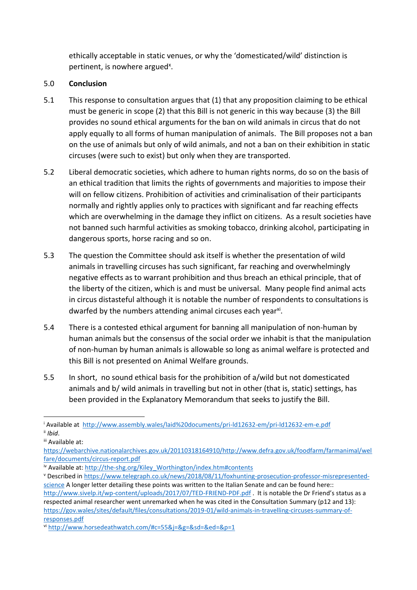ethically acceptable in static venues, or why the 'domesticated/wild' distinction is pertinent, is nowhere argued<sup>x</sup>.

# 5.0 **Conclusion**

- 5.1 This response to consultation argues that (1) that any proposition claiming to be ethical must be generic in scope (2) that this Bill is not generic in this way because (3) the Bill provides no sound ethical arguments for the ban on wild animals in circus that do not apply equally to all forms of human manipulation of animals. The Bill proposes not a ban on the use of animals but only of wild animals, and not a ban on their exhibition in static circuses (were such to exist) but only when they are transported.
- 5.2 Liberal democratic societies, which adhere to human rights norms, do so on the basis of an ethical tradition that limits the rights of governments and majorities to impose their will on fellow citizens. Prohibition of activities and criminalisation of their participants normally and rightly applies only to practices with significant and far reaching effects which are overwhelming in the damage they inflict on citizens. As a result societies have not banned such harmful activities as smoking tobacco, drinking alcohol, participating in dangerous sports, horse racing and so on.
- 5.3 The question the Committee should ask itself is whether the presentation of wild animals in travelling circuses has such significant, far reaching and overwhelmingly negative effects as to warrant prohibition and thus breach an ethical principle, that of the liberty of the citizen, which is and must be universal. Many people find animal acts in circus distasteful although it is notable the number of respondents to consultations is dwarfed by the numbers attending animal circuses each year<sup>xi</sup>.
- 5.4 There is a contested ethical argument for banning all manipulation of non-human by human animals but the consensus of the social order we inhabit is that the manipulation of non-human by human animals is allowable so long as animal welfare is protected and this Bill is not presented on Animal Welfare grounds.
- 5.5 In short, no sound ethical basis for the prohibition of a/wild but not domesticated animals and b/ wild animals in travelling but not in other (that is, static) settings, has been provided in the Explanatory Memorandum that seeks to justify the Bill.

<sup>i</sup> Available at <http://www.assembly.wales/laid%20documents/pri-ld12632-em/pri-ld12632-em-e.pdf> ii *Ibid*.

iii Available at:

[https://webarchive.nationalarchives.gov.uk/20110318164910/http://www.defra.gov.uk/foodfarm/farmanimal/wel](https://webarchive.nationalarchives.gov.uk/20110318164910/http:/www.defra.gov.uk/foodfarm/farmanimal/welfare/documents/circus-report.pdf) [fare/documents/circus-report.pdf](https://webarchive.nationalarchives.gov.uk/20110318164910/http:/www.defra.gov.uk/foodfarm/farmanimal/welfare/documents/circus-report.pdf)

iv Available at[: http://the-shg.org/Kiley\\_Worthington/index.htm#contents](http://the-shg.org/Kiley_Worthington/index.htm#contents)

<sup>v</sup> Described in [https://www.telegraph.co.uk/news/2018/08/11/foxhunting-prosecution-professor-misrepresented](https://www.telegraph.co.uk/news/2018/08/11/foxhunting-prosecution-professor-misrepresented-science)[science](https://www.telegraph.co.uk/news/2018/08/11/foxhunting-prosecution-professor-misrepresented-science) A longer letter detailing these points was written to the Italian Senate and can be found here:: <http://www.sivelp.it/wp-content/uploads/2017/07/TED-FRIEND-PDF.pdf> . It is notable the Dr Friend's status as a respected animal researcher went unremarked when he was cited in the Consultation Summary (p12 and 13): [https://gov.wales/sites/default/files/consultations/2019-01/wild-animals-in-travelling-circuses-summary-of](https://gov.wales/sites/default/files/consultations/2019-01/wild-animals-in-travelling-circuses-summary-of-responses.pdf)[responses.pdf](https://gov.wales/sites/default/files/consultations/2019-01/wild-animals-in-travelling-circuses-summary-of-responses.pdf)

vi <http://www.horsedeathwatch.com/#c=55&j=&g=&sd=&ed=&p=1>